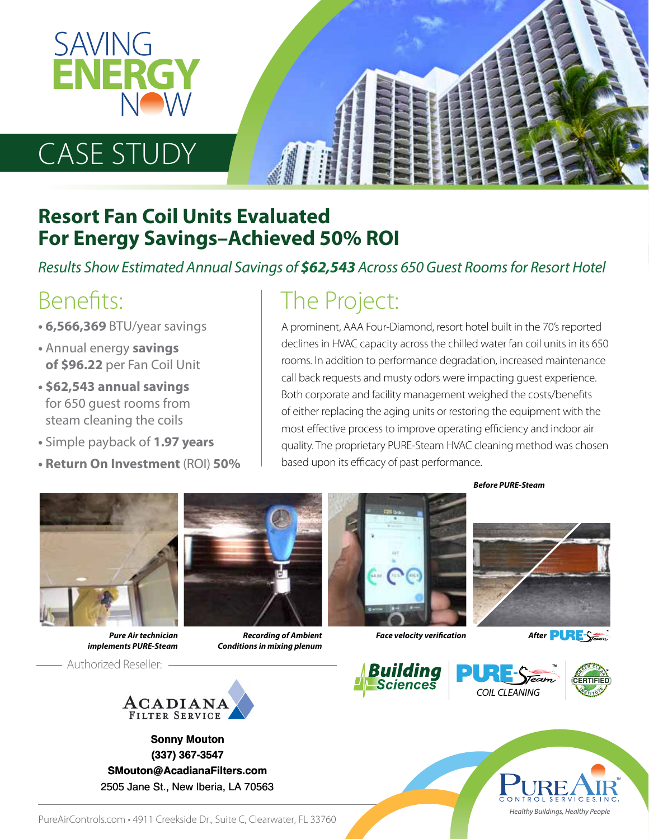

# CASE STUDY

#### **Resort Fan Coil Units Evaluated For Energy Savings–Achieved 50% ROI**

*Results Show Estimated Annual Savings of \$62,543 Across 650 Guest Rooms for Resort Hotel*

#### Benefits:

- **6,566,369** BTU/year savings
- Annual energy **savings of \$96.22** per Fan Coil Unit
- **\$62,543 annual savings** for 650 guest rooms from steam cleaning the coils
- **•** Simple payback of **1.97 years**
- **Return On Investment** (ROI) **50%**

### The Project:

A prominent, AAA Four-Diamond, resort hotel built in the 70's reported declines in HVAC capacity across the chilled water fan coil units in its 650 rooms. In addition to performance degradation, increased maintenance call back requests and musty odors were impacting guest experience. Both corporate and facility management weighed the costs/benefits of either replacing the aging units or restoring the equipment with the most effective process to improve operating efficiency and indoor air quality. The proprietary PURE-Steam HVAC cleaning method was chosen based upon its efficacy of past performance.



*Pure Air technician implements PURE-Steam* 

Authorized Reseller:



*Recording of Ambient Conditions in mixing plenum*



*Before PURE-Steam*



*Face velocity verification* 

After **PURE** 



**Sonny Mouton Sonny Mouton (337) 367-3547 (337) 367-3547 SMouton@AcadianaFilters.com SMouton@AcadianaFilters.com** 2505 Jane St., New Iberia, LA 70563 2505 Jane St., New Iberia, LA 70563









PureAirControls.com · 4911 Creekside Dr., Suite C, Clearwater, FL 33760